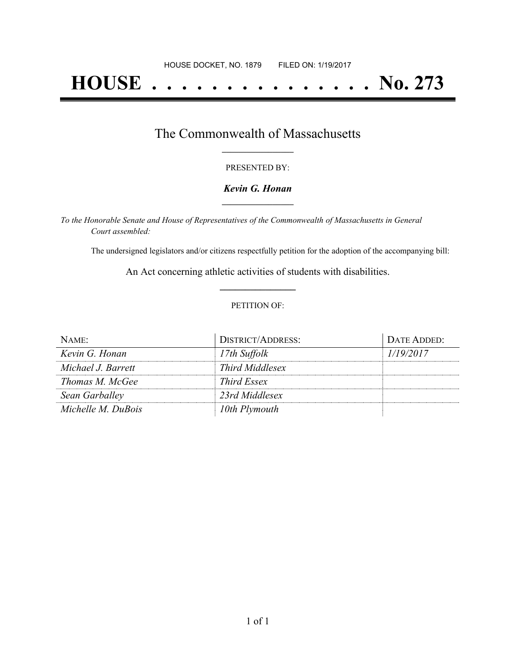# **HOUSE . . . . . . . . . . . . . . . No. 273**

### The Commonwealth of Massachusetts **\_\_\_\_\_\_\_\_\_\_\_\_\_\_\_\_\_**

#### PRESENTED BY:

#### *Kevin G. Honan* **\_\_\_\_\_\_\_\_\_\_\_\_\_\_\_\_\_**

*To the Honorable Senate and House of Representatives of the Commonwealth of Massachusetts in General Court assembled:*

The undersigned legislators and/or citizens respectfully petition for the adoption of the accompanying bill:

An Act concerning athletic activities of students with disabilities. **\_\_\_\_\_\_\_\_\_\_\_\_\_\_\_**

#### PETITION OF:

| $N$ AME:           | <b>DISTRICT/ADDRESS:</b> | DATE ADDED: |
|--------------------|--------------------------|-------------|
| Kevin G. Honan     | 17th Suffolk             | 1/19/2017   |
| Michael J. Barrett | <i>Third Middlesex</i>   |             |
| Thomas M. McGee    | <i>Third Essex</i>       |             |
| Sean Garballey     | 23rd Middlesex           |             |
| Michelle M. DuBois | 10th Plymouth            |             |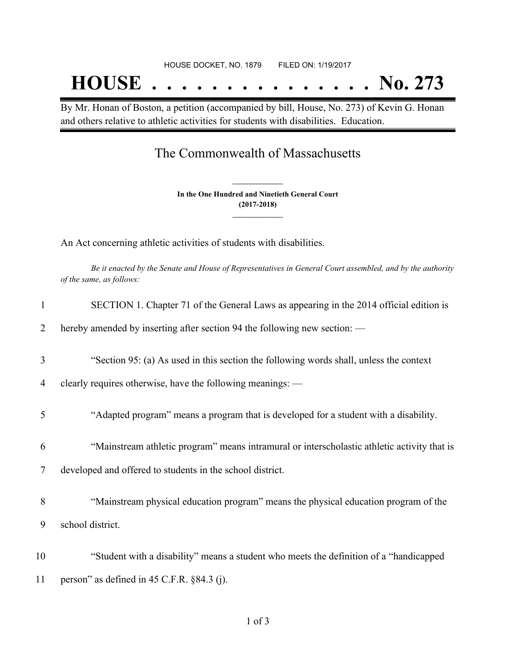# HOUSE DOCKET, NO. 1879 FILED ON: 1/19/2017 **HOUSE . . . . . . . . . . . . . . . No. 273**

By Mr. Honan of Boston, a petition (accompanied by bill, House, No. 273) of Kevin G. Honan and others relative to athletic activities for students with disabilities. Education.

## The Commonwealth of Massachusetts

**In the One Hundred and Ninetieth General Court (2017-2018) \_\_\_\_\_\_\_\_\_\_\_\_\_\_\_**

**\_\_\_\_\_\_\_\_\_\_\_\_\_\_\_**

An Act concerning athletic activities of students with disabilities.

Be it enacted by the Senate and House of Representatives in General Court assembled, and by the authority *of the same, as follows:*

| 1  | SECTION 1. Chapter 71 of the General Laws as appearing in the 2014 official edition is      |
|----|---------------------------------------------------------------------------------------------|
| 2  | hereby amended by inserting after section 94 the following new section: —                   |
| 3  | "Section 95: (a) As used in this section the following words shall, unless the context      |
| 4  | clearly requires otherwise, have the following meanings: -                                  |
| 5  | "Adapted program" means a program that is developed for a student with a disability.        |
| 6  | "Mainstream athletic program" means intramural or interscholastic athletic activity that is |
| 7  | developed and offered to students in the school district.                                   |
| 8  | "Mainstream physical education program" means the physical education program of the         |
| 9  | school district.                                                                            |
| 10 | "Student with a disability" means a student who meets the definition of a "handicapped      |
| 11 | person" as defined in $45$ C.F.R. $\S 84.3$ (j).                                            |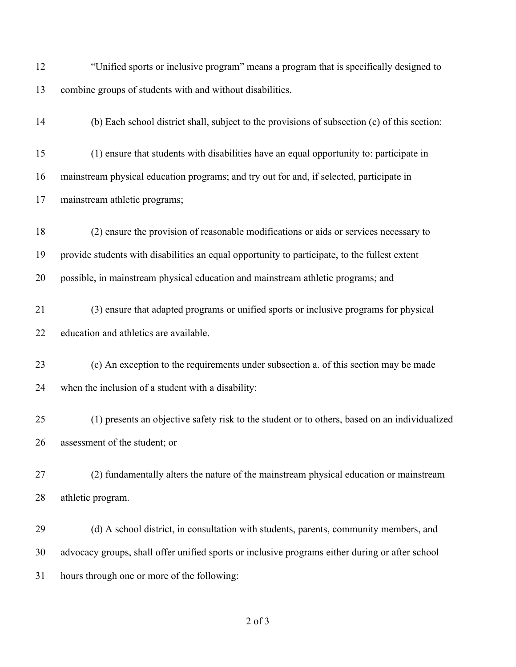| 12 | "Unified sports or inclusive program" means a program that is specifically designed to          |
|----|-------------------------------------------------------------------------------------------------|
| 13 | combine groups of students with and without disabilities.                                       |
| 14 | (b) Each school district shall, subject to the provisions of subsection (c) of this section:    |
| 15 | (1) ensure that students with disabilities have an equal opportunity to: participate in         |
| 16 | mainstream physical education programs; and try out for and, if selected, participate in        |
| 17 | mainstream athletic programs;                                                                   |
| 18 | (2) ensure the provision of reasonable modifications or aids or services necessary to           |
| 19 | provide students with disabilities an equal opportunity to participate, to the fullest extent   |
| 20 | possible, in mainstream physical education and mainstream athletic programs; and                |
| 21 | (3) ensure that adapted programs or unified sports or inclusive programs for physical           |
| 22 | education and athletics are available.                                                          |
| 23 | (c) An exception to the requirements under subsection a. of this section may be made            |
| 24 | when the inclusion of a student with a disability:                                              |
| 25 | (1) presents an objective safety risk to the student or to others, based on an individualized   |
| 26 | assessment of the student; or                                                                   |
| 27 | (2) fundamentally alters the nature of the mainstream physical education or mainstream          |
| 28 | athletic program.                                                                               |
| 29 | (d) A school district, in consultation with students, parents, community members, and           |
| 30 | advocacy groups, shall offer unified sports or inclusive programs either during or after school |
| 31 | hours through one or more of the following:                                                     |

of 3